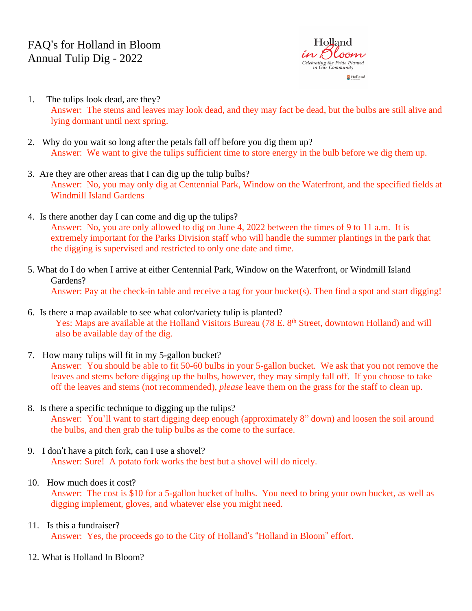

- 1. The tulips look dead, are they? Answer: The stems and leaves may look dead, and they may fact be dead, but the bulbs are still alive and lying dormant until next spring.
- 2. Why do you wait so long after the petals fall off before you dig them up? Answer: We want to give the tulips sufficient time to store energy in the bulb before we dig them up.
- 3. Are they are other areas that I can dig up the tulip bulbs? Answer: No, you may only dig at Centennial Park, Window on the Waterfront, and the specified fields at Windmill Island Gardens
- 4. Is there another day I can come and dig up the tulips? Answer: No, you are only allowed to dig on June 4, 2022 between the times of 9 to 11 a.m. It is extremely important for the Parks Division staff who will handle the summer plantings in the park that the digging is supervised and restricted to only one date and time.
- 5. What do I do when I arrive at either Centennial Park, Window on the Waterfront, or Windmill Island Gardens? Answer: Pay at the check-in table and receive a tag for your bucket(s). Then find a spot and start digging!
- 6. Is there a map available to see what color/variety tulip is planted? Yes: Maps are available at the Holland Visitors Bureau (78 E. 8<sup>th</sup> Street, downtown Holland) and will also be available day of the dig.
- 7. How many tulips will fit in my 5-gallon bucket?

Answer: You should be able to fit 50-60 bulbs in your 5-gallon bucket. We ask that you not remove the leaves and stems before digging up the bulbs, however, they may simply fall off. If you choose to take off the leaves and stems (not recommended), *please* leave them on the grass for the staff to clean up.

- 8. Is there a specific technique to digging up the tulips? Answer: You'll want to start digging deep enough (approximately 8" down) and loosen the soil around the bulbs, and then grab the tulip bulbs as the come to the surface.
- 9. I don't have a pitch fork, can I use a shovel? Answer: Sure! A potato fork works the best but a shovel will do nicely.

# 10. How much does it cost?

Answer: The cost is \$10 for a 5-gallon bucket of bulbs. You need to bring your own bucket, as well as digging implement, gloves, and whatever else you might need.

# 11. Is this a fundraiser?

Answer: Yes, the proceeds go to the City of Holland's "Holland in Bloom" effort.

12. What is Holland In Bloom?